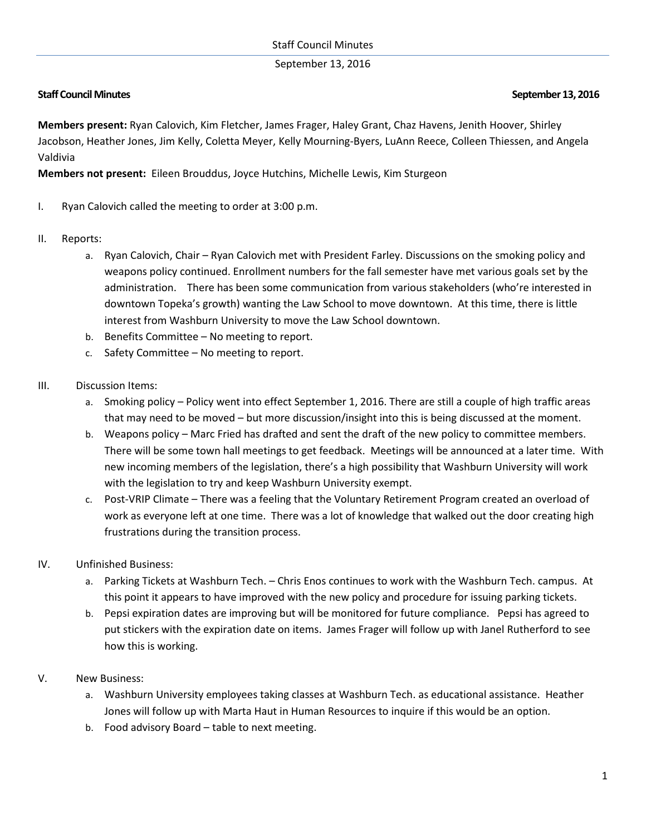September 13, 2016

## **Staff Council Minutes September 13, 2016**

**Members present:** Ryan Calovich, Kim Fletcher, James Frager, Haley Grant, Chaz Havens, Jenith Hoover, Shirley Jacobson, Heather Jones, Jim Kelly, Coletta Meyer, Kelly Mourning-Byers, LuAnn Reece, Colleen Thiessen, and Angela Valdivia

**Members not present:** Eileen Brouddus, Joyce Hutchins, Michelle Lewis, Kim Sturgeon

- I. Ryan Calovich called the meeting to order at 3:00 p.m.
- II. Reports:
	- a. Ryan Calovich, Chair Ryan Calovich met with President Farley. Discussions on the smoking policy and weapons policy continued. Enrollment numbers for the fall semester have met various goals set by the administration. There has been some communication from various stakeholders (who're interested in downtown Topeka's growth) wanting the Law School to move downtown. At this time, there is little interest from Washburn University to move the Law School downtown.
	- b. Benefits Committee No meeting to report.
	- c. Safety Committee No meeting to report.
- III. Discussion Items:
	- a. Smoking policy Policy went into effect September 1, 2016. There are still a couple of high traffic areas that may need to be moved – but more discussion/insight into this is being discussed at the moment.
	- b. Weapons policy Marc Fried has drafted and sent the draft of the new policy to committee members. There will be some town hall meetings to get feedback. Meetings will be announced at a later time. With new incoming members of the legislation, there's a high possibility that Washburn University will work with the legislation to try and keep Washburn University exempt.
	- c. Post-VRIP Climate There was a feeling that the Voluntary Retirement Program created an overload of work as everyone left at one time. There was a lot of knowledge that walked out the door creating high frustrations during the transition process.
- IV. Unfinished Business:
	- a. Parking Tickets at Washburn Tech. Chris Enos continues to work with the Washburn Tech. campus. At this point it appears to have improved with the new policy and procedure for issuing parking tickets.
	- b. Pepsi expiration dates are improving but will be monitored for future compliance. Pepsi has agreed to put stickers with the expiration date on items. James Frager will follow up with Janel Rutherford to see how this is working.
- V. New Business:
	- a. Washburn University employees taking classes at Washburn Tech. as educational assistance. Heather Jones will follow up with Marta Haut in Human Resources to inquire if this would be an option.
	- b. Food advisory Board table to next meeting.